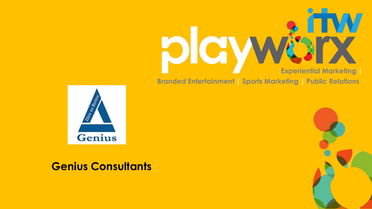



# **Genius Consultants**

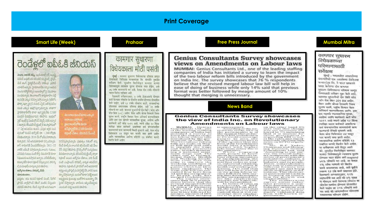## **Print Coverage**



ప్రస్తుతం తమ కంపెనీ రిక్రూట్ మెంట్, పేరోల్ ప్రాసెస్, బ్యాక్గిగౌండ్ చెకింగ్ వంటివి చేస్తుందని యాదవ్ తెలిపారు. లేజర్ చటానికి అనుగుణంగా - ఎటువంటి వివక ఉండదని తెలిపారు.



తెలంగాణ నుంచే మాకు ఎకు న **othotho ವಸ್**ಕಂಬ ఘండలాబాద్లోని టాటా. **8.53% 0556 2.500 month** లికుంటి చేశాల: జీనియస్ సీఎం

తెలిపారు. రికూటింగ్ పాసెస్ట్ జాబ్ అవసరానికి తగటు ఉన్న ప్రొఫెల్ ను షార్ లిస్ చేసి, వారిని ఇంట ర్క్యూ చేస్తామన్నారు. ఇందులో కూడా సెలెక్ అయిన అభ్యర్థులను క్రయింట్లు ఇంకోసారి ఇంటర్వూ చేసి పైనల్ చేసారన్నారు. జాబ్లాను జప్పించేటపూడు

## **Prahaar**

# कामगार सुधारणा विधेयकाला मोठी पसंती

सुंबई : कामगार सुधारणा विधेयकांचा परिणाम जाणन घेण्यासाठी जिनिअस कन्सल्टंटस लि. कंपनीने नकतेच सर्वेक्षण केले. सधारित विलीनीकृत कामगार कायदा विधेयकामुळे व्यवसाय सुलभ होण्यास मदत होईल, असे ७६ टक्के कामगारांचे मत आहे. केवळ दीड टक्के लोकांनी त्याला विरोध दर्शवला आहे.

देशव्यापी सर्वेक्षणानुसार, ४ टक्के इंएसआयचे योगदान कमी केल्यास लोकांना या योजनेत सामील होण्यास प्रोत्साहित केले जाईल, असे ६२ टक्के लोकांना वाटते. लाभाध्यांच्या जीवनावर सकारात्मक परिणाम होईल, असे २९ टक्के लोकांचे मत आहे. कामगार सुधारणेची दोन बिले (कोड ऑन वीज बिल २०१) आहेत. वेतन आणि बोनस देवकाचे नियम सुलभ करणे, राष्ट्रीय किमान वेतन अनिवार्य करण्याशिवाय आणि इतर एक म्हणजे व्यावसायिक सुरक्षा, आरोग्य आणि कार्यकारी अटी कोड २०१९ आहे. ज्याचे उदिष्ट १० किंवा त्यापेक्षा जास्त कर्मचारी असलेल्या सर्व कंपन्यांमधील कामगारांची काम करण्याची स्थिती सधारणे आहे. वेतन कोड विधेयकात ४४ पासून चार कायदे जमा झाले आहेत आणि व्यावसायिक आरोग्य संहितेने १३ संबंधित कायदे

विलीन केले आहेत.

## **Free Press Journal**

## **Genius Consultants Survey showcases** views on Amendments on Labour laws

MUMBAI: Genius Consultants Ltd., one of the leading staffing companies of India has initiated a survey to learn the impact of the two labour reform bills introduced by the government on India Inc. The survey showcases that 76 % respondents believe that the revised merged labour law bill will help in ease of doing of business while only 14% said that previous format was better followed by meagre amount of 10% thought that merging is unnecessary.

### **News Band**

#### **Genius Consultants Survey showcases** the view of India Inc. on Revolutionary **Amendments on Labour laws**

MUMBAL Centure<br>
Consultants of the leading stating<br>
of the leading stating<br>
of the leading stating<br>
initiated a survey to<br>
the impact of the leading<br>
initiated a survey to<br>
two labour reform bills<br>
interactions in the spac ruise, Beatdemandar<br>
antional mini-<br>
antional mini-<br>
antional Mafety, Health<br>
and Working Condi<br>
tional Mafety, Health<br>
tiona Code 2019 that<br>
aims to improve the<br>
working condition of workers condition of<br>workers across all comparisons which has 10 per more employing<br>more employing the<br>more employing the<br>sum of four laws from all health and the occupation<br>more do in the state of the state of the dense d

dents believe that the<br>revised merged labour<br>law bill will help in case iaw bullwall below a car<br>while only 14% said<br>while only 14% said<br>was better followed by mengre amount of 10%<br>thought that merging

is unnecessary.<br>According to the na-<br>tionwide study, 62% of tion wide study, 02% of<br>the participants is of<br>the openion that reduce<br>to 4% well denotes<br>the complete to distribute<br>people to distribute<br>people whereas 20% is<br>of the opinion that the<br>illves of the beneficiants lives of the beneficiantes<br>would have a positive impact with higher<br>take home selery due to<br>the initiative.<br>While a proper to know the<br>with people to know about governments as

bour reform initiatives<br>of amalgamating the<br>long format labour laws into four codes on wag-<br>es, industrial relations, es, inclustrial relations.<br>social security, safety &<br>health and working come<br>diffusion, 71% said that<br>diffusion 71% said that<br>on the going labour is<br>on the going labour is<br>ing that disadvantages in the unorganised sec-<br>tor-like-employment<br>security, low wages sto.

will be streamlined.<br>percentage of 18PP<br>percentage of 18PP<br>19. the study says that Sista is positive in their<br>outlesk that it will encourage more employ:<br>ers to be part of EPFO

#### on the other hand syssays that this charges was not necessary followed by 7% indicating<br>that it is unclear because government is<br>requesting RBI to lower the rates and simul-<br>tancously allowing high<br>rates on EPFO regula-

rates on EPP or and a<br>change of the Neutralian Change of the Threeton Consultants<br>Consultants Lid, with Consultants Consultants Consultants<br>Consultants to our survey, the overall incluse<br>try sentiments with the series of government's<br>initiatives indicate a<br>positive outlook for the industry and its people.<br>These -comprehensive lavos aira te rationalise<br>different formats into simpler one and bring<br>about uniformity in definitions. This showcas es geverrancent's actions<br>in creanting an economy tem for growth and<br>employability the countrywide<br>trivey across inclusion<br>trive presents a com-

obete amoeman ent of the industry opinions and contains attentive<br>thoughts, facts, and in<br>fusive validated data<br>from well-known or greatsimpaties ran

## **Mumbai Mitra**

## कामगार सुधारण विधेयकाच्या परिणामासाठी सतेक्षण

भूंगई : भारतातील आधाडीच्या अंगन्यापैको एक असलेल्या जिनिअस भन्न्सल्लंटस लि. ने भारत सहकारने आदर केलेल्या टोन कड़ागाव सुधारण विधेयकाचा परिणाम जाणन घेण्यासाठी सर्वेश्वण सरू केले आहे. आमगार सुधारणेश्वी दोन बिले कोड ऑन लेज बिल 201 Bill आहेत. वेतन आणि बोचस देशकाचे तिवस सुलम करणे, शष्टीय किमान क्षेतन अनिवार्य करण्याशिवास आणि. इतर एक म्हणजे ज्यातसायिक सुरक्षा, आरोप्य आणि कार्यकारी अटी फ्रोड २०१९ आहे ज्याचे उदीष्ट १० किंगा स्थापेक्षा जास्त कर्मचारी असलेल्या सर्व कंपन्यांमधील कामगारांची काम नरण्याची सिंधती संपारणे आहे. चेतन कोड विधेयकाल ४४ पासून चार कायदे जमा अली अधीर. क्यावस्त्रमिक आरोप संहितेने १३ संबंधित कायदे विलीन केले आहेत. या सर्वेक्षणात असे दिसून आले की. सुधारित विलीनीकृत कामगार जायदा विधेयकामुळे ज्यवसाय सुलभ होग्यास भदत होईल असे respond ७६% लोकांचे मत आहे. तर केवळ १९६ स्तेमः माणाले की बिलीन करणे अनावश्यक आहे, असे पूर्वाचे स्थरूप १० टके कमी प्रमाणात क्षेते. देशव्यापी अभ्यासानुसार, ६२% सहभागोंचे मत आहे की ४% एक्श चे योगदान कमी येरुवास लोकांगा या बोजनेत सामाल होण्यास प्रोत्सालित वेजने जार्डल तर २९% लोकांचे असे गत आहे की लागाय्यांच्या जीवनालर शकायल्पक परिणाम डोईल.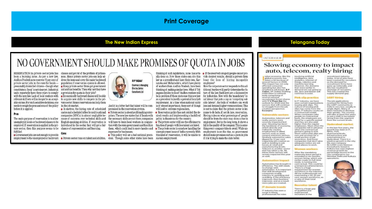# **Print Coverage**

### **The New Indian Express**

# NO GOVERNMENT SHOULD MAKE PROMISES OF QUOTA IN JOBS

RESERVATION in private sector jobs has classes and get rid of the problem of joblessunits reportedly have three years to comply a provision for quota in their jobs? with the new law Lack of local workers with . Economically backward classes will be able relevant skill sets will no longer be an accept- to acquire new skills to compete in the priable excuse. For such sensitive decisions, one vate sector. Hence reservation can help them needs to weigh the pros and cons of the policy in the job market. before it is applied.

#### Pros

The main purpose of reservation is to allow unemployed locals or backward classes to be employed. If reservation is applied in the private sector, then this purpose seems to be **fulfilled** 

Cons · Government jobs are not enough to provide employment to the unemployed or backward . Private sector runs on talent and abilities. dent. Though some other states have been sustain employment.

been a burning issue. As per a new law, ness. Hence private sector jobs can help ad-Andhra Pradesh now reserves 75 per cent of dress the issue and cover the major backward private sector jobs in the state for locals - population if reservation system is allowed. presumably domiciled citizens - though what . Many private sector firms get government constitutes a 'local' is not clear vet. Industrial aid and tax benefits. Then why not they have

. In metros, the hiring rate of scheduled

castes and scheduled tribes by multi-national companies (MNCs) is almost negligible because of concerns over technical skills and English-speaking abilities. If reservation is will have to train local workers in conjunc- . The private sector will lose the efficiency to introduced in the sector, they will get a fair chance of representation and learning.

expenses for businesses.



And it is a bitter fact that talent will be compromised in the reservation system.

prises. The new law states that if locals with the necessary skills are not there, companies policy is disastrous for the country tion with the state government and then hire function if people with less talent are hired. them, which could lead to more hassles and • The private sector is somehow handling the

ally done so. Now those states can cite this vide desired results, should a private firm law as a precedent and have their own. Kar- bear the loss of hiring incapable nataka and Maharashtra, which have plenty employees? thinking of makingsimilar laws. What if Tel-

will lead to extreme regionalism. • Private sector is about profit making enter- • Reservation policy has not vielded the de-

unemployment issue of India currently. With

thinking of such legislations, none has actu- . If the reserved category people cannot pro-

of workers from Andhra Pradesh, have been How the corporate sector responds to this additional burden will partly determine the fuangana decides to do so? Andhra workers will ture of the law. Such laws are a disincentive be in problem if these states use this new law for industries. Now with the 'mandatory' loas a precedent to justify a potential local-job cal labour that puts a cap on 'competing outrequirement. At a time when national unity side labour', the bulk of workers can work is of utmost importance, these sort of things less and demand higher remunerations. This is not to claim that the private sector is immune to de facto, if not de jure, reservation. sired results and implementing a backfired Having rules on what percentage of people should be from the state may show a rise in employment. But in the long term, it shows a fall in the quality of the company. This is something every company tries to avoid. While unemployment is on the rise, no government . This policy will set a bad national prece-<br>this kind of reservation, it will be unable to should make promises such as a quota in jobs if it is trying to make the state better.

body comprising of several national

> putfook for 2020 and the spectors that will continuuto struggle from the job creation perspective. **Excerpts:**

#### utmoratyle savrtors

people on contractual Automotive, telecom and basis, the employees are results corrector system. Integet four a suspecific quarteut severely impacted last and they are also paid. year, Housing has been higher than the regular the backbone of economy employees. Most often the which directly and companies tell in advance. indirectly creates when the contractual employment in affied period is going to end. Short notice pink slips are sectors such as steel. coment and brick sectors. rare and account for a Similarly automotive sales small portion of job. dipped by 12 per cent. impacting job creation as companies that don't give well as leading to job adequate notice are not looses at netail and preat planes to work. manufacturing levels. Telescom is another sector that has taken a hit. All

these three sectors will remain impacted this year mit wordt.

#### **Automation impact**

Automation has brought in efficiency. The skill needs to change with automation. It is important that skill development companies enable industry in upskilling and cent women workforce, an reskilling. If the efficiency a ratio of their total improves, then business. improves, and as a result workforce more jobs are created.

#### Recruiter Inless IT domain trends

There is a huge gap IT industry has seen a of qualified and surge in hiring experienced. professionals for roles recruiters in the

## **Telangana Today**

#### **LNTERVIEW**

## Slowing economy to impact auto, telecom, realty hiring

west. IT industry works on

a contractual model.

When companies take

severance. And those

arnen workers

ndian economy, like the involving artificial global economy, has Intelligence, data taken a hit because of analytics, internet of www.d factors in 2019. things, rabotics and This impact has not only machine learning. However, the domains affected consumer spending but also has that were martier in resulted in job losses. R P Yaday, VP Indian Staffing Federation (a national continue to exist.

recruitment firms) shares with Y.V Phani Raj the In IT industry, we have went certain organisations issuing pink stips. The culture of issuang pink. slips has come from the

After the mandatory maternity leave period is extended to six months. women hirting, which was

corlier made on full-time mode, is turning into contractual. This could be a temporary phenomenon There is a huge nismainement for wormen workforce in the industry. All the multinationals are maintaining a 30-35 per



recruitment industry today. A lot of jobs have been created for recruiters as the deconant for recruitment firms have gone up nationally, and this has resulted in demand are not going to shortage of recruiters. clip. Jayur and driftnet will This has created the supply-demand gap.

#### **LGBT** hiring Ynk slip practice

The job applications received for hiring from the LGRT community in india is yery low, usually in single digits. Many of there hesitate to disclose their agendar. The country will take at least five years. to see a shift in increased hiring from this segment freers that express bounds.

#### nel crusolent

In the last five years, the growth has been in IT. BPOs, ITeS, ciharmaceuticab. infrastructure and entertainment in Hyderabad. There is a positive growth in the city. My own company Rs 1.050-crore Genious Consultants based in Kolkata has seen bigheet revenue growth (in percentage terms) in the city compared to pur Mumbal, Delhi and Kolkata

operations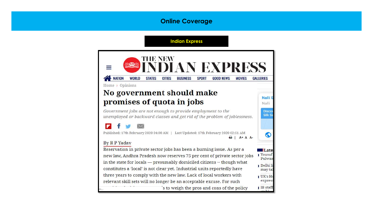# **Online Coverage**

## **Indian Express**

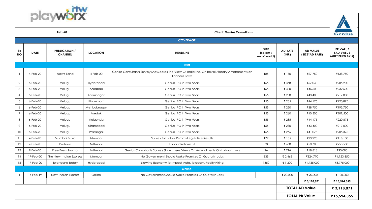



| Feb-20                |                |                                        |                 | <b>Client: Genius Consultants</b>                                                                         |                                 |                         |                                   | <b>Genius</b>                                    |  |
|-----------------------|----------------|----------------------------------------|-----------------|-----------------------------------------------------------------------------------------------------------|---------------------------------|-------------------------|-----------------------------------|--------------------------------------------------|--|
| <b>COVERAGE</b>       |                |                                        |                 |                                                                                                           |                                 |                         |                                   |                                                  |  |
| SR<br><b>NO</b>       | <b>DATE</b>    | <b>PUBLICATION /</b><br><b>CHANNEL</b> | <b>LOCATION</b> | <b>HEADLINE</b>                                                                                           | SIZE<br>(sq.cm/<br>no of world) | <b>AD RATE</b><br>(INR) | <b>AD VALUE</b><br>(SIZE*AD RATE) | <b>PR VALUE</b><br>(AD VALUE<br>MULTIPLIED BY 5) |  |
|                       |                |                                        |                 | <b>Print</b>                                                                                              |                                 |                         |                                   |                                                  |  |
|                       | 4-Feb-20       | News Band                              | 4-Feb-20        | Genius Consultants Survey Showcases The View Of India Inc. On Revolutionary Amendments on<br>Lannour Laws | 185                             | ₹ 150                   | ₹27,750                           | ₹138,750                                         |  |
| $\overline{2}$        | 6-Feb-20       | Velugu                                 | Hyderabad       | Genius IPO in Two Years                                                                                   | 155                             | ₹ 368                   | ₹57,040                           | ₹285,200                                         |  |
| $\mathbf{3}$          | 6-Feb-20       | Velugu                                 | Adilabad        | Genius IPO in Two Years                                                                                   | 155                             | ₹ 300                   | ₹46,500                           | ₹232,500                                         |  |
| $\overline{4}$        | $6$ -Feb- $20$ | Velugu                                 | Karimnagar      | Genius IPO in Two Years                                                                                   | 155                             | ₹ 280                   | ₹43,400                           | ₹217,000                                         |  |
| 5                     | 6-Feb-20       | Velugu                                 | Khammam         | Genius IPO in Two Years                                                                                   | 155                             | ₹ 285                   | ₹44,175                           | ₹220,875                                         |  |
| 6                     | $6$ -Feb- $20$ | Velugu                                 | Mehbubnagar     | Genius IPO in Two Years                                                                                   | 155                             | ₹ 250                   | ₹38,750                           | ₹193,750                                         |  |
| $\overline{7}$        | $6$ -Feb- $20$ | Velugu                                 | Medak           | Genius IPO in Two Years                                                                                   | 155                             | ₹ 260                   | ₹40,300                           | ₹201,500                                         |  |
| 8                     | 6-Feb-20       | Velugu                                 | Nalgonda        | Genius IPO in Two Years                                                                                   | 155                             | ₹ 285                   | ₹44,175                           | ₹220,875                                         |  |
| 9                     | $6$ -Feb- $20$ | Velugu                                 | Nizamabad       | Genius IPO in Two Years                                                                                   | 155                             | ₹ 280                   | ₹43,400                           | ₹217,000                                         |  |
| 10                    | $6$ -Feb-20    | Velugu                                 | Warangal        | Genius IPO in Two Years                                                                                   | 155                             | ₹ 265                   | ₹41,075                           | ₹205,375                                         |  |
| 11                    | 4-Feb-20       | Mumbai Mitra                           | Mumbai          | Survey for Labor Reform Legislative Results                                                               | 172                             | ₹ 135                   | ₹23,220                           | ₹116,100                                         |  |
| 12                    | 7-Feb-20       | Prahaar                                | MUmbai          | Labour Reform Bill                                                                                        | 78                              | ₹ 650                   | ₹50,700                           | ₹253,500                                         |  |
| 13                    | 7-Feb-20       | Free Press Journal                     | MUmbai          | Genius Consultants Survey Showcases Views On Amendments On Labour Laws                                    | 26                              | ₹716                    | ₹18,616                           | ₹93,080                                          |  |
| 14                    | 17-Feb-20      | The New Indian Express                 | Mumbai          | No Government Should Make Promises Of Quota In Jobs                                                       | 335                             | ₹ 2,462                 | ₹824,770                          | ₹4,123,850                                       |  |
| 15                    | 17-Feb-20      | Telangana Today                        | Hyderabad       | Slowing Economy To Impact Auto, Telecom, Realty Hiring                                                    | 1350                            | ₹ 1,300                 | ₹1,755,000                        | ₹8,775,000                                       |  |
|                       |                |                                        |                 | Online                                                                                                    |                                 |                         |                                   |                                                  |  |
|                       | 16-Feb-19      | New Indian Express                     | Online          | No Government Should Make Promises Of Quota In Jobs                                                       | $\sim$                          | ₹ 20,000                | ₹ 20,000                          | ₹ 100,000                                        |  |
|                       |                |                                        |                 |                                                                                                           |                                 |                         | ₹ 3,118,871                       | ₹ 15,594,355                                     |  |
| <b>TOTAL AD Value</b> |                |                                        |                 |                                                                                                           |                                 |                         |                                   | ₹ 3,118,871                                      |  |
|                       |                |                                        |                 |                                                                                                           |                                 |                         | <b>TOTAL PR Value</b>             | ₹15,594,355                                      |  |